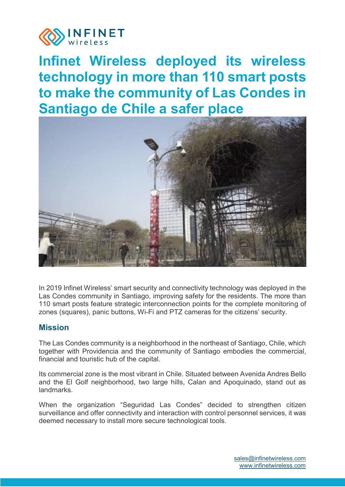

# **Infinet Wireless deployed its wireless technology in more than 110 smart posts to make the community of Las Condes in Santiago de Chile a safer place**



In 2019 Infinet Wireless' smart security and connectivity technology was deployed in the Las Condes community in Santiago, improving safety for the residents. The more than 110 smart posts feature strategic interconnection points for the complete monitoring of zones (squares), panic buttons, Wi-Fi and PTZ cameras for the citizens' security.

#### **Mission**

The Las Condes community is a neighborhood in the northeast of Santiago, Chile, which together with Providencia and the community of Santiago embodies the commercial, financial and touristic hub of the capital.

Its commercial zone is the most vibrant in Chile. Situated between Avenida Andres Bello and the El Golf neighborhood, two large hills, Calan and Apoquinado, stand out as **landmarks** 

When the organization "Seguridad Las Condes" decided to strengthen citizen surveillance and offer connectivity and interaction with control personnel services, it was deemed necessary to install more secure technological tools.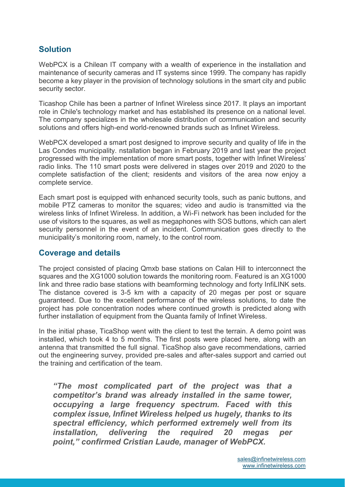## **Solution**

WebPCX is a Chilean IT company with a wealth of experience in the installation and maintenance of security cameras and IT systems since 1999. The company has rapidly become a key player in the provision of technology solutions in the smart city and public security sector.

Ticashop Chile has been a partner of Infinet Wireless since 2017. It plays an important role in Chile's technology market and has established its presence on a national level. The company specializes in the wholesale distribution of communication and security solutions and offers high-end world-renowned brands such as Infinet Wireless.

WebPCX developed a smart post designed to improve security and quality of life in the Las Condes municipality. nstallation began in February 2019 and last year the project progressed with the implementation of more smart posts, together with Infinet Wireless' radio links. The 110 smart posts were delivered in stages over 2019 and 2020 to the complete satisfaction of the client; residents and visitors of the area now enjoy a complete service.

Each smart post is equipped with enhanced security tools, such as panic buttons, and mobile PTZ cameras to monitor the squares; video and audio is transmitted via the wireless links of Infinet Wireless. In addition, a Wi-Fi network has been included for the use of visitors to the squares, as well as megaphones with SOS buttons, which can alert security personnel in the event of an incident. Communication goes directly to the municipality's monitoring room, namely, to the control room.

#### **Coverage and details**

The project consisted of placing Qmxb base stations on Calan Hill to interconnect the squares and the XG1000 solution towards the monitoring room. Featured is an XG1000 link and three radio base stations with beamforming technology and forty InfiLINK sets. The distance covered is 3-5 km with a capacity of 20 megas per post or square guaranteed. Due to the excellent performance of the wireless solutions, to date the project has pole concentration nodes where continued growth is predicted along with further installation of equipment from the Quanta family of Infinet Wireless.

In the initial phase, TicaShop went with the client to test the terrain. A demo point was installed, which took 4 to 5 months. The first posts were placed here, along with an antenna that transmitted the full signal. TicaShop also gave recommendations, carried out the engineering survey, provided pre-sales and after-sales support and carried out the training and certification of the team.

*"The most complicated part of the project was that a competitor's brand was already installed in the same tower, occupying a large frequency spectrum. Faced with this complex issue, Infinet Wireless helped us hugely, thanks to its spectral efficiency, which performed extremely well from its installation, delivering the required 20 megas per point," confirmed Cristian Laude, manager of WebPCX.*